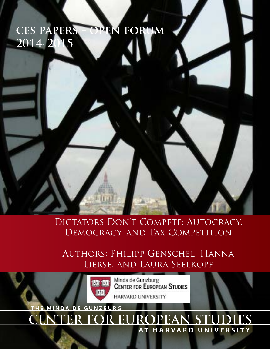# **ces papers - open forum 2014-2015**

Dictators Don't Compete: Autocracy, Democracy, and Tax Competition

Authors: Philipp Genschel, Hanna Lierse, and Laura Seelkopf



Minda de Gunzburg<br>CENTER FOR EUROPEAN STUDIES **HARVARD UNIVERSITY** 

**ER FOR EUROPEAN ST DA DE GUNZB AT HARVARD UNIVERSITY**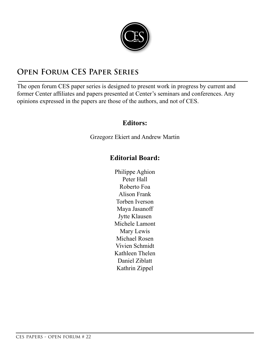

# **Open Forum CES Paper Series**

The open forum CES paper series is designed to present work in progress by current and former Center affiliates and papers presented at Center's seminars and conferences. Any opinions expressed in the papers are those of the authors, and not of CES.

### **Editors:**

Grzegorz Ekiert and Andrew Martin

## **Editorial Board:**

Philippe Aghion Peter Hall Roberto Foa Alison Frank Torben Iverson Maya Jasanoff Jytte Klausen Michele Lamont Mary Lewis Michael Rosen Vivien Schmidt Kathleen Thelen Daniel Ziblatt Kathrin Zippel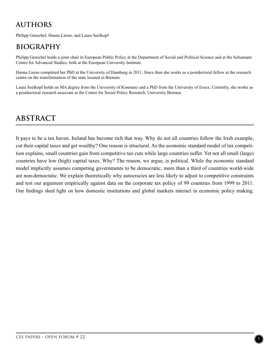# **AUTHORS**

Philipp Genschel, Hanna Lierse, and Laura Seelkopf

# **BIOGRAPHY**

Philipp Genschel holds a joint chair in European Public Policy at the Department of Social and Political Science and at the Schumann Centre for Advanced Studies, both at the European University Institute.

Hanna Lierse completed her PhD at the University of Hamburg in 2011. Since then she works as a postdoctoral fellow at the research centre on the transformation of the state located in Bremen.

Laura Seelkopf holds an MA degree from the University of Konstanz and a PhD from the University of Essex. Currently, she works as a postdoctoral research associate at the Center for Social Policy Research, University Bremen.

# **ABSTRACT**

It pays to be a tax haven. Ireland has become rich that way. Why do not all countries follow the Irish example, cut their capital taxes and get wealthy? One reason is structural. As the economic standard model of tax competition explains, small countries gain from competitive tax cuts while large countries suffer. Yet not all small (large) countries have low (high) capital taxes. Why? The reason, we argue, is political. While the economic standard model implicitly assumes competing governments to be democratic, more than a third of countries world-wide are non-democratic. We explain theoretically why autocracies are less likely to adjust to competitive constraints and test our argument empirically against data on the corporate tax policy of 99 countries from 1999 to 2011. Our findings shed light on how domestic institutions and global markets interact in economic policy making.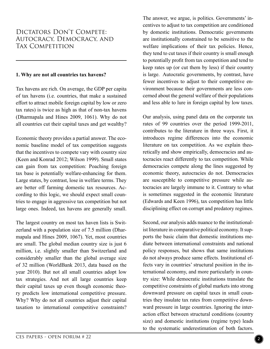### Dictators Don't Compete: Autocracy, Democracy, and TAX COMPETITION

#### **1. Why are not all countries tax havens?**

Tax havens are rich. On average, the GDP per capita of tax havens (i.e. countries, that make a sustained effort to attract mobile foreign capital by low or zero tax rates) is twice as high as that of non-tax havens (Dharmapala and Hines 2009, 1061). Why do not all countries cut their capital taxes and get wealthy?

Economic theory provides a partial answer. The economic baseline model of tax competition suggests that the incentives to compete vary with country size (Keen and Konrad 2012; Wilson 1999). Small states can gain from tax competition: Poaching foreign tax base is potentially welfare-enhancing for them. Large states, by contrast, lose in welfare terms. They are better off farming domestic tax resources. According to this logic, we should expect small countries to engage in aggressive tax competition but not large ones. Indeed, tax havens are generally small.

The largest country on most tax haven lists is Switzerland with a population size of 7.5 million (Dharmapala and Hines 2009, 1067). Yet, most countries are small. The global median country size is just 6 million, i.e. slightly smaller than Switzerland and considerably smaller than the global average size of 32 million (WorldBank 2013, data based on the year 2010). But not all small countries adopt low tax strategies. And not all large countries keep their capital taxes up even though economic theory predicts low international competitive pressure. Why? Why do not all countries adjust their capital taxation to international competitive constraints?

The answer, we argue, is politics. Governments' incentives to adjust to tax competition are conditioned by domestic institutions. Democratic governments are institutionally constrained to be sensitive to the welfare implications of their tax policies. Hence, they tend to cut taxes if their country is small enough to potentially profit from tax competition and tend to keep rates up (or cut them by less) if their country is large. Autocratic governments, by contrast, have fewer incentives to adjust to their competitive environment because their governments are less concerned about the general welfare of their populations and less able to lure in foreign capital by low taxes.

Our analysis, using panel data on the corporate tax rates of 99 countries over the period 1999-2011, contributes to the literature in three ways. First, it introduces regime differences into the economic literature on tax competition. As we explain theoretically and show empirically, democracies and autocracies react differently to tax competition. While democracies compete along the lines suggested by economic theory, autocracies do not. Democracies are susceptible to competitive pressure while autocracies are largely immune to it. Contrary to what is sometimes suggested in the economic literature (Edwards and Keen 1996), tax competition has little disciplining effect on corrupt and predatory regimes.

Second, our analysis adds nuance to the institutionalist literature in comparative political economy. It supports the basic claim that domestic institutions mediate between international constraints and national policy responses, but shows that same institutions do not always produce same effects. Institutional effects vary in countries' structural position in the international economy, and more particularly in country size: While democratic institutions translate the competitive constraints of global markets into strong downward pressure on capital taxes in small countries they insulate tax rates from competitive downward pressure in large countries. Ignoring the interaction effect between structural conditions (country size) and domestic institutions (regime type) leads to the systematic underestimation of both factors.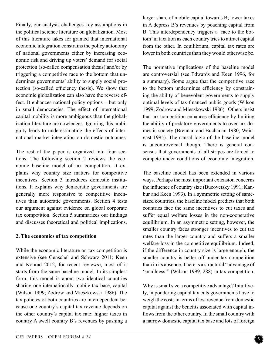Finally, our analysis challenges key assumptions in the political science literature on globalization. Most of this literature takes for granted that international economic integration constrains the policy autonomy of national governments either by increasing economic risk and driving up voters' demand for social protection (so-called compensation thesis) and/or by triggering a competitive race to the bottom that undermines governments' ability to supply social protection (so-called efficiency thesis). We show that economic globalization can also have the reverse effect. It enhances national policy options – but only in small democracies. The effect of international capital mobility is more ambiguous than the globalization literature acknowledges. Ignoring this ambiguity leads to underestimating the effects of international market integration on domestic outcomes.

The rest of the paper is organized into four sections. The following section 2 reviews the economic baseline model of tax competition. It explains why country size matters for competitive incentives. Section 3 introduces domestic institutions. It explains why democratic governments are generally more responsive to competitive incentives than autocratic governments. Section 4 tests our argument against evidence on global corporate tax competition. Section 5 summarizes our findings and discusses theoretical and political implications.

#### **2. The economics of tax competition**

While the economic literature on tax competition is extensive (see Genschel and Schwarz 2011; Keen and Konrad 2012, for recent reviews), most of it starts from the same baseline model. In its simplest form, this model is about two identical countries sharing one internationally mobile tax base, capital (Wilson 1999; Zodrow and Mieszkowski 1986). The tax policies of both countries are interdependent because one country's capital tax revenue depends on the other country's capital tax rate: higher taxes in country A swell country B's revenues by pushing a

larger share of mobile capital towards B; lower taxes in A depress B's revenues by poaching capital from B. This interdependency triggers a 'race to the bottom' in taxation as each country tries to attract capital from the other. In equilibrium, capital tax rates are lower in both countries than they would otherwise be.

The normative implications of the baseline model are controversial (see Edwards and Keen 1996, for a summary). Some argue that the competitive race to the bottom undermines efficiency by constraining the ability of benevolent governments to supply optimal levels of tax-financed public goods (Wilson 1999; Zodrow and Mieszkowski 1986). Others insist that tax competition enhances efficiency by limiting the ability of predatory governments to over-tax domestic society (Brennan and Buchanan 1980; Weingast 1995). The causal logic of the baseline model is uncontroversial though. There is general consensus that governments of all stripes are forced to compete under conditions of economic integration.

The baseline model has been extended in various ways. Perhaps the most important extension concerns the influence of country size (Bucovetsky 1991; Kanbur and Keen 1993). In a symmetric setting of samesized countries, the baseline model predicts that both countries face the same incentives to cut taxes and suffer equal welfare losses in the non-cooperative equilibrium. In an asymmetric setting, however, the smaller country faces stronger incentives to cut tax rates than the larger country and suffers a smaller welfare-loss in the competitive equilibrium. Indeed, if the difference in country size is large enough, the smaller country is better off under tax competition than in its absence. There is a structural "advantage of 'smallness'" (Wilson 1999, 288) in tax competition.

Why is small size a competitive advantage? Intuitively, in pondering capital tax cuts governments have to weigh the costs in terms of lost revenue from domestic capital against the benefits associated with capital inflows from the other country. In the small country with a narrow domestic capital tax base and lots of foreign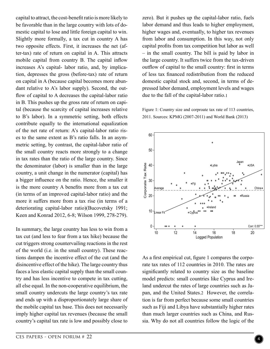capital to attract, the cost-benefit ratio is more likely to be favorable than in the large country with lots of domestic capital to lose and little foreign capital to win. Slightly more formally, a tax cut in country A has two opposite effects. First, it increases the net (after-tax) rate of return on capital in A. This attracts mobile capital from country B. The capital inflow increases A's capital- labor ratio, and, by implication, depresses the gross (before-tax) rate of return on capital in A (because capital becomes more abundant relative to A's labor supply). Second, the outflow of capital to A decreases the capital-labor ratio in B. This pushes up the gross rate of return on capital (because the scarcity of capital increases relative to B's labor). In a symmetric setting, both effects contribute equally to the international equalization of the net rate of return: A's capital-labor ratio rises to the same extent as B's ratio falls. In an asymmetric setting, by contrast, the capital-labor ratio of the small country reacts more strongly to a change in tax rates than the ratio of the large country. Since the denominator (labor) is smaller than in the large country, a unit change in the numerator (capital) has a bigger influence on the ratio. Hence, the smaller it is the more country A benefits more from a tax cut (in terms of an improved capital-labor ratio) and the more it suffers more from a tax rise (in terms of a deteriorating capital-labor ratio)(Bucovetsky 1991; Keen and Konrad 2012, 6-8; Wilson 1999, 278-279).

In summary, the large country has less to win from a tax cut (and less to fear from a tax hike) because the cut triggers strong countervailing reactions in the rest of the world (i.e. in the small country). These reactions dampen the incentive effect of the cut (and the disincentive effect of the hike). The large country thus faces a less elastic capital supply than the small country and has less incentive to compete in tax cutting, all else equal. In the non-cooperative equilibrium, the small country undercuts the large country's tax rate and ends up with a disproportionately large share of the mobile capital tax base. This does not necessarily imply higher capital tax revenues (because the small country's capital tax rate is low and possibly close to zero). But it pushes up the capital-labor ratio, fuels labor demand and thus leads to higher employment, higher wages and, eventually, to higher tax revenues from labor and consumption. In this way, not only capital profits from tax competition but labor as well – in the small country. The bill is paid by labor in the large country. It suffers twice from the tax-driven outflow of capital to the small country: first in terms of less tax financed redistribution from the reduced domestic capital stock and, second, in terms of depressed labor demand, employment levels and wages due to the fall of the capital-labor ratio.1

Figure 1: Country size and corproate tax rate of 113 countries, 2011. Sources: KPMG (2007-2011) and World Bank (2013)



As a first empirical cut, figure 1 compares the corporate tax rates of 112 countries in 2010. The rates are significantly related to country size as the baseline model predicts: small countries like Cyprus and Ireland undercut the rates of large countries such as Japan, and the United States.2 However, the correlation is far from perfect because some small countries such as Fiji and Libya have substantially higher rates than much larger countries such as China, and Russia. Why do not all countries follow the logic of the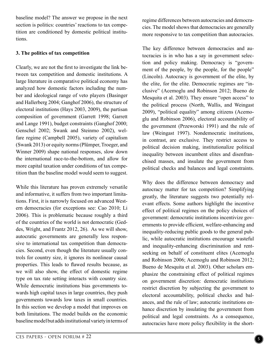baseline model? The answer we propose in the next section is politics: countries' reactions to tax competition are conditioned by domestic political institutions.

#### **3. The politics of tax competition**

Clearly, we are not the first to investigate the link between tax competition and domestic institutions. A large literature in comparative political economy has analyzed how domestic factors including the number and ideological range of veto players (Basinger and Hallerberg 2004; Ganghof 2006), the structure of electoral institutions (Hays 2003, 2009), the partisan composition of government (Garrett 1998; Garrett and Lange 1991), budget constraints (Ganghof 2000; Genschel 2002; Swank and Steinmo 2002), welfare regime (Campbell 2005), variety of capitalism (Swank 2013) or equity norms (Plümper, Troeger, and Winner 2009) shape national responses, slow down the international race-to-the-bottom, and allow for more capital taxation under conditions of tax competition than the baseline model would seem to suggest.

While this literature has proven extremely versatile and informative, it suffers from two important limitations. First, it is narrowly focused on advanced Western democracies (for exceptions see: Cao 2010; Li 2006). This is problematic because roughly a third of the countries of the world is not democratic (Geddes, Wright, and Frantz 2012, 26). As we will show, autocratic governments are generally less responsive to international tax competition than democracies. Second, even though the literature usually controls for country size, it ignores its nonlinear causal properties. This leads to flawed results because, as we will also show, the effect of domestic regime type on tax rate setting interacts with country size. While democratic institutions bias governments towards high capital taxes in large countries, they push governments towards low taxes in small countries. In this section we develop a model that improves on both limitations. The model builds on the economic baseline model but adds institutional variety in terms of regime differences between autocracies and democracies. The model shows that democracies are generally more responsive to tax competition than autocracies.

The key difference between democracies and autocracies is in who has a say in government selection and policy making. Democracy is "government of the people, by the people, for the people" (Lincoln). Autocracy is government of the elite, by the elite, for the elite. Democratic regimes are "inclusive" (Acemoglu and Robinson 2012; Bueno de Mesquita et al. 2003). They ensure "open access" to the political process (North, Wallis, and Weingast 2009), "political equality" among citizens (Acemoglu and Robinson 2006), electoral accountability of the government (Przeworski 1991) and the rule of law (Weingast 1997). Nondemocratic institutions, in contrast, are exclusive. They restrict access to political decision making, institutionalize political inequality between incumbent elites and disenfranchised masses, and insulate the government from political checks and balances and legal constraints.

Why does the difference between democracy and autocracy matter for tax competition? Simplifying greatly, the literature suggests two potentially relevant effects. Some authors highlight the incentive effect of political regimes on the policy choices of government: democratic institutions incentivize governments to provide efficient, welfare-enhancing and inequality-reducing public goods to the general public, while autocratic institutions encourage wasteful and inequality-enhancing discrimination and rentseeking on behalf of constituent elites (Acemoglu and Robinson 2006; Acemoglu and Robinson 2012; Bueno de Mesquita et al. 2003). Other scholars emphasize the constraining effect of political regimes on government discretion: democratic institutions restrict discretion by subjecting the government to electoral accountability, political checks and balances, and the rule of law; autocratic institutions enhance discretion by insulating the government from political and legal constraints. As a consequence, autocracies have more policy flexibility in the short-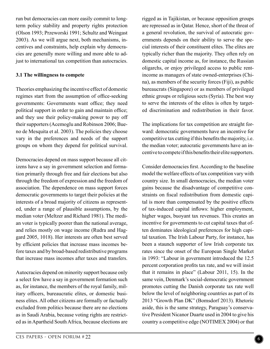run but democracies can more easily commit to longterm policy stability and property rights protection (Olson 1993; Przeworski 1991; Schultz and Weingast 2003). As we will argue next, both mechanisms, incentives and constraints, help explain why democracies are generally more willing and more able to adjust to international tax competition than autocracies.

#### **3.1 The willingness to compete**

Theories emphasizing the incentive effect of domestic regimes start from the assumption of office-seeking governments: Governments want office; they need political support in order to gain and maintain office; and they use their policy-making power to pay off their supporters (Acemoglu and Robinson 2006; Bueno de Mesquita et al. 2003). The policies they choose vary in the preferences and needs of the support groups on whom they depend for political survival.

Democracies depend on mass support because all citizens have a say in government selection and formation primarily through free and fair elections but also through the freedom of expression and the freedom of association. The dependence on mass support forces democratic governments to target their policies at the interests of a broad majority of citizens as represented, under a range of plausible assumptions, by the median voter (Meltzer and Richard 1981). The median voter is typically poorer than the national average, and relies mostly on wage income (Rudra and Haggard 2005, 1018). Her interests are often best served by efficient policies that increase mass incomes before taxes and by broad-based redistributive programs that increase mass incomes after taxes and transfers.

Autocracies depend on minority support because only a select few have a say in government formation such as, for instance, the members of the royal family, military officers, bureaucratic elites, or domestic business elites. All other citizens are formally or factually excluded from politics because there are no elections as in Saudi Arabia, because voting rights are restricted as in Apartheid South Africa, because elections are

rigged as in Tajikistan, or because opposition groups are repressed as in Qatar. Hence, short of the threat of a general revolution, the survival of autocratic governments depends on their ability to serve the special interests of their constituent elites. The elites are typically richer than the majority. They often rely on domestic capital income as, for instance, the Russian oligarchs, or enjoy privileged access to public rentincome as managers of state owned-enterprises (China), as members of the security forces (Fiji), as public bureaucrats (Singapore) or as members of privileged ethnic groups or religious sects (Syria). The best way to serve the interests of the elites is often by targeted discrimination and redistribution in their favor.

The implications for tax competition are straight forward: democratic governments have an incentive for competitive tax cutting if this benefits the majority, i.e. the median voter; autocratic governments have an incentive to compete if this benefits their elite supporters.

Consider democracies first. According to the baseline model the welfare effects of tax competition vary with country size. In small democracies, the median voter gains because the disadvantage of competitive constraints on fiscal redistribution from domestic capital is more than compensated by the positive effects of tax-induced capital inflows: higher employment, higher wages, buoyant tax revenues. This creates an incentive for governments to cut capital taxes that often dominates ideological preferences for high capital taxation. The Irish Labour Party, for instance, has been a staunch supporter of low Irish corporate tax rates since the onset of the European Single Market in 1993: "Labour in government introduced the 12.5 percent corporation profits tax rate, and we will insist that it remains in place" (Labour 2011, 15). In the same vein, Denmark's social-democratic government promotes cutting the Danish corporate tax rate well below the level of neighboring countries as part of its 2013 "Growth Plan DK" (Bomsdorf 2013). Rhetoric aside, this is the same strategy, Paraguay's conservative President Nicanor Duarte used in 2004 to give his country a competitive edge (NOTIMEX 2004) or that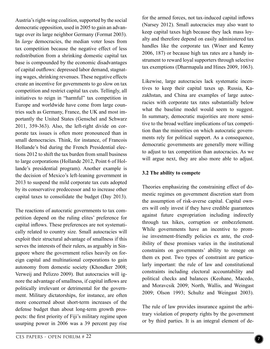Austria's right-wing coalition, supported by the social democratic opposition, used in 2005 to gain an advantage over its large neighbor Germany (Format 2003). In *large* democracies, the median voter loses from tax competition because the negative effect of less redistribution from a shrinking domestic capital tax base is compounded by the economic disadvantages of capital outflows: depressed labor demand, stagnating wages, shrinking revenues. These negative effects create an incentive for governments to go slow on tax competition and restrict capital tax cuts. Tellingly, all initiatives to reign in "harmful" tax competition in Europe and worldwide have come from large countries such as Germany, France, the UK and most importantly the United States (Genschel and Schwarz 2011, 359-363). Also, the left-right divide on corporate tax issues is often more pronounced than in small democracies. Think, for instance, of Francois Hollande's bid during the French Presidential elections 2012 to shift the tax burden from small business to large corporations (Hollande 2012, Point 6 of Hollande's presidential program). Another example is the decision of Mexico's left-leaning government in 2013 to suspend the mild corporate tax cuts adopted by its conservative predecessor and to increase other capital taxes to consolidate the budget (Day 2013).

The reactions of autocratic governments to tax competition depend on the ruling elites' preference for capital inflows. These preferences are not systematically related to country size. Small autocracies will exploit their structural advantage of smallness if this serves the interests of their rulers, as arguably in Singapore where the government relies heavily on foreign capital and multinational corporations to gain autonomy from domestic society (Khondker 2008; Verweij and Pelizzo 2009). But autocracies will ignore the advantage of smallness, if capital inflows are politically irrelevant or detrimental for the government. Military dictatorships, for instance, are often more concerned about short-term increases of the defense budget than about long-term growth prospects: the first priority of Fiji's military regime upon usurping power in 2006 was a 39 percent pay rise

for the armed forces, not tax-induced capital inflows (Narsey 2012). Small autocracies may also want to keep capital taxes high because they lack mass loyalty and therefore depend on easily administered tax handles like the corporate tax (Winer and Kenny 2006, 187) or because high tax rates are a handy instrument to reward loyal supporters through selective tax exemptions (Dharmapala and Hines 2009, 1063).

Likewise, large autocracies lack systematic incentives to keep their capital taxes up. Russia, Kazakhstan, and China are examples of large autocracies with corporate tax rates substantially below what the baseline model would seem to suggest. In summary, democratic majorities are more sensitive to the broad welfare implications of tax competition than the minorities on which autocratic governments rely for political support. As a consequence, democratic governments are generally more willing to adjust to tax competition than autocracies. As we will argue next, they are also more able to adjust.

#### **3.2 The ability to compete**

Theories emphasizing the constraining effect of domestic regimes on government discretion start from the assumption of risk-averse capital. Capital owners will only invest if they have credible guarantees against future expropriation including indirectly through tax hikes, corruption or embezzlement. While governments have an incentive to promise investment-friendly policies ex ante, the credibility of these promises varies in the institutional constraints on governments' ability to renege on them ex post. Two types of constraint are particularly important: the rule of law and constitutional constraints including electoral accountability and political checks and balances (Keohane, Macedo, and Moravcsik 2009; North, Wallis, and Weingast 2009; Olson 1993; Schultz and Weingast 2003).

The rule of law provides insurance against the arbitrary violation of property rights by the government or by third parties. It is an integral element of de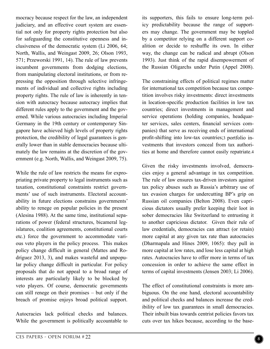mocracy because respect for the law, an independent judiciary, and an effective court system are essential not only for property rights protection but also for safeguarding the constitutive openness and inclusiveness of the democratic system (Li 2006, 64; North, Wallis, and Weingast 2009, 26; Olson 1993, 571; Przeworski 1991, 14). The rule of law prevents incumbent governments from dodging elections, from manipulating electoral institutions, or from repressing the opposition through selective infringements of individual and collective rights including property rights. The rule of law is inherently in tension with autocracy because autocracy implies that different rules apply to the government and the governed. While various autocracies including Imperial Germany in the 19th century or contemporary Singapore have achieved high levels of property rights protection, the credibility of legal guarantees is generally lower than in stable democracies because ultimately the law remains at the discretion of the government (e.g. North, Wallis, and Weingast 2009, 75).

While the rule of law restricts the means for expropriating private property to legal instruments such as taxation, constitutional constraints restrict governments' use of such instruments. Electoral accountability in future elections constrains governments' ability to renege on popular policies in the present (Alesina 1988). At the same time, institutional separations of power (federal structures, bicameral legislatures, coalition agreements, constitutional courts etc.) force the government to accommodate various veto players in the policy process. This makes policy change difficult in general (Mattes and Rodríguez 2013, 3), and makes wasteful and unpopular policy change difficult in particular. For policy proposals that do not appeal to a broad range of interests are particularly likely to be blocked by veto players. Of course, democratic governments can still renege on their promises – but only if the breach of promise enjoys broad political support.

Autocracies lack political checks and balances. While the government is politically accountable to its supporters, this fails to ensure long-term policy predictability because the range of supporters may change. The government may be toppled by a competitor relying on a different support coalition or decide to reshuffle its own. In either way, the change can be radical and abrupt (Olson 1993). Just think of the rapid disempowerment of the Russian Oligarchs under Putin (Appel 2008).

The constraining effects of political regimes matter for international tax competition because tax competition involves risky investments: direct investments in location-specific production facilities in low tax countries; direct investments in management and service operations (holding companies, headquarter services, sales centers, financial services companies) that serve as receiving ends of international profit-shifting into low-tax countries;3 portfolio investments that investors conceal from tax authorities at home and therefore cannot easily repatriate.4

Given the risky investments involved, democracies enjoy a general advantage in tax competition. The rule of law ensures tax-driven investors against tax policy abuses such as Russia's arbitrary use of tax evasion charges for undercutting BP's grip on Russian oil companies (Belton 2008). Even capricious dictators usually prefer keeping their loot in sober democracies like Switzerland to entrusting it to another capricious dictator. Given their rule of law credentials, democracies can attract (or retain) more capital at any given tax rate than autocracies (Dharmapala and Hines 2009, 1065): they pull in more capital at low rates, and lose less capital at high rates. Autocracies have to offer more in terms of tax concession in order to achieve the same effect in terms of capital investments (Jensen 2003; Li 2006).

The effect of constitutional constraints is more ambiguous. On the one hand, electoral accountability and political checks and balances increase the credibility of low tax guarantees in small democracies. Their inbuilt bias towards centrist policies favors tax cuts over tax hikes because, according to the base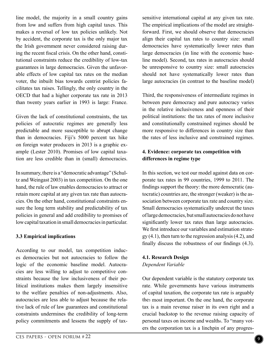line model, the majority in a small country gains from low and suffers from high capital taxes. This makes a reversal of low tax policies unlikely. Not by accident, the corporate tax is the only major tax the Irish government never considered raising during the recent fiscal crisis. On the other hand, constitutional constraints reduce the credibility of low-tax guarantees in large democracies. Given the unfavorable effects of low capital tax rates on the median voter, the inbuilt bias towards centrist policies facilitates tax raises. Tellingly, the only country in the OECD that had a higher corporate tax rate in 2013 than twenty years earlier in 1993 is large: France.

Given the lack of constitutional constraints, the tax policies of autocratic regimes are generally less predictable and more susceptible to abrupt change than in democracies. Fiji's 5000 percent tax hike on foreign water producers in 2013 is a graphic example (Lester 2010). Promises of low capital taxation are less credible than in (small) democracies.

In summary, there is a "democratic advantage" (Schultz and Weingast 2003) in tax competition. On the one hand, the rule of law enables democracies to attract or retain more capital at any given tax rate than autocracies. On the other hand, constitutional constraints ensure the long term stability and predictability of tax policies in general and add credibility to promises of low capital taxation in small democracies in particular.

#### **3.3 Empirical implications**

According to our model, tax competition induces democracies but not autocracies to follow the logic of the economic baseline model. Autocracies are less willing to adjust to competitive constraints because the low inclusiveness of their political institutions makes them largely insensitive to the welfare penalties of non-adjustments. Also, autocracies are less able to adjust because the relative lack of rule of law guarantees and constitutional constraints undermines the credibility of long-term policy commitments and lessens the supply of taxsensitive international capital at any given tax rate. The empirical implications of the model are straightforward. First, we should observe that democracies align their capital tax rates to country size: small democracies have systematically lower rates than large democracies (in line with the economic baseline model). Second, tax rates in autocracies should be unresponsive to country size: small autocracies should not have systematically lower rates than large autocracies (in contrast to the baseline model)

Third, the responsiveness of intermediate regimes in between pure democracy and pure autocracy varies in the relative inclusiveness and openness of their political institutions: the tax rates of more inclusive and constitutionally constrained regimes should be more responsive to differences in country size than the rates of less inclusive and constrained regimes.

#### **4. Evidence: corporate tax competition with differences in regime type**

In this section, we test our model against data on corporate tax rates in 99 countries, 1999 to 2011. The findings support the theory: the more democratic (autocratic) countries are, the stronger (weaker) is the association between corporate tax rate and country size. Small democracies systematically undercut the taxes of large democracies, but small autocracies do not have significantly lower tax rates than large autocracies. We first introduce our variables and estimation strate $gy (4.1)$ , then turn to the regression analysis  $(4.2)$ , and finally discuss the robustness of our findings (4.3).

#### **4.1. Research Design**  *Dependent Variable*

Our dependent variable is the statutory corporate tax rate. While governments have various instruments of capital taxation, the corporate tax rate is arguably the5 most important. On the one hand, the corporate tax is a main revenue raiser in its own right and a crucial backstop to the revenue raising capacity of personal taxes on income and wealth6. To "many voters the corporation tax is a linchpin of any progres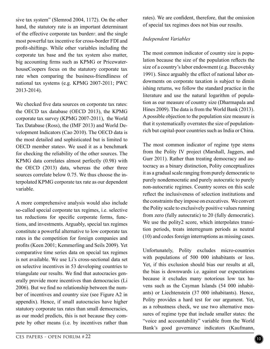sive tax system" (Slemrod 2004, 1172). On the other hand, the statutory rate is an important determinant of the effective corporate tax burden7, and the single most powerful tax incentive for cross-border FDI and profit-shifting8. While other variables including the corporate tax base and the tax system also matter, big accounting firms such as KPMG or PricewaterhouseCoopers focus on the statutory corporate tax rate when comparing the business-friendliness of national tax systems (e.g. KPMG 2007-2011; PWC 2013-2014).

We checked five data sources on corporate tax rates: the OECD tax database (OECD 2013), the KPMG corporate tax survey (KPMG 2007-2011), the World Tax Database (Ross), the (IMF 2013) and World Development Indicators (Cao 2010). The OECD data is the most detailed and sophisticated but is limited to OECD member states9. We used it as a benchmark for checking the reliability of the other sources. The KPMG data correlates almost perfectly (0.98) with the OECD (2013) data, whereas the other three sources correlate below 0.75. We thus choose the interpolated KPMG corporate tax rate as our dependent variable.

A more comprehensive analysis would also include so-called special corporate tax regimes, i.e. selective tax reductions for specific corporate forms, functions, and investments. Arguably, special tax regimes constitute a powerful alternative to low corporate tax rates in the competition for foreign companies and profits (Keen 2001; Kemmerling and Seils 2009). Yet comparative time series data on special tax regimes is not available. We use Li's cross-sectional data set on selective incentives in 53 developing countries to triangulate our results. We find that autocracies generally provide more incentives than democracies (Li 2006). But we find no relationship between the number of incentives and country size (see Figure A2 in appendix). Hence, if small autocracies have higher statutory corporate tax rates than small democracies, as our model predicts, this is not because they compete by other means (i.e. by incentives rather than rates). We are confident, therefore, that the omission of special tax regimes does not bias our results.

#### *Independent Variables*

The most common indicator of country size is population because the size of the population reflects the size of a country's labor endowment (e.g. Bucovetsky 1991). Since arguably the effect of national labor endowments on corporate taxation is subject to dimin ishing returns, we follow the standard practice in the literature and use the natural logarithm of population as our measure of country size (Dharmapala and Hines 2009). The data is from the World Bank (2013). A possible objection to the population size measure is that it systematically overrates the size of populationrich but capital-poor countries such as India or China.

The most common indicator of regime type stems from the Polity IV project (Marshall, Jaggers, and Gurr 2011). Rather than treating democracy and autocracy as a binary distinction, Polity conceptualizes it as a gradual scale ranging from purely democratic to purely nondemocratic and purely autocratic to purely non-autocratic regimes. Country scores on this scale reflect the inclusiveness of selection institutions and the constraints they impose on executives. We convert the Polity scale to exclusively positive values running from zero (fully autocratic) to 20 (fully democratic). We use the polity2 score, which interpolates transition periods, treats interregnum periods as neutral (10) and codes foreign interruptions as missing cases.

Unfortunately, Polity excludes micro-countries with populations of 500 000 inhabitants or less. Yet, if this exclusion should bias our results at all, the bias is downwards i.e. against our expectations because it excludes many notorious low tax havens such as the Cayman Islands (54 000 inhabitants) or Liechtenstein (37 000 inhabitants). Hence, Polity provides a hard test for our argument. Yet, as a robustness check, we use two alternative measures of regime type that include smaller states: the "voice and accountability" variable from the World Bank's good governance indicators (Kaufmann,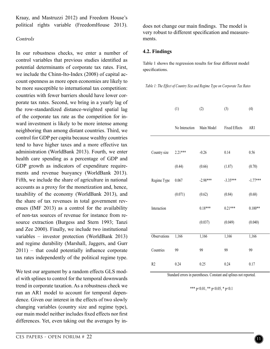Kraay, and Mastruzzi 2012) and Freedom House's political rights variable (FreedomHouse 2013).

#### *Controls*

In our robustness checks, we enter a number of control variables that previous studies identified as potential determinants of corporate tax rates. First, we include the Chinn-Ito-Index (2008) of capital account openness as more open economies are likely to be more susceptible to international tax competition: countries with fewer barriers should have lower corporate tax rates. Second, we bring in a yearly lag of the row-standardized distance-weighted spatial lag of the corporate tax rate as the competition for inward investment is likely to be more intense among neighboring than among distant countries. Third, we control for GDP per capita because wealthy countries tend to have higher taxes and a more effective tax administration (WorldBank 2013). Fourth, we enter health care spending as a percentage of GDP and GDP growth as indicators of expenditure requirements and revenue buoyancy (WorldBank 2013). Fifth, we include the share of agriculture in national accounts as a proxy for the monetization and, hence, taxability of the economy (WorldBank 2013), and the share of tax revenues in total government revenues (IMF 2013) as a control for the availability of non-tax sources of revenue for instance from resource extraction (Burgess and Stern 1993; Tanzi and Zee 2000). Finally, we include two institutional variables – investor protection (WorldBank 2013) and regime durability (Marshall, Jaggers, and Gurr 2011) – that could potentially influence corporate tax rates independently of the political regime type.

We test our argument by a random effects GLS model with splines to control for the temporal downwards trend in corporate taxation. As a robustness check we run an AR1 model to account for temporal dependence. Given our interest in the effects of two slowly changing variables (country size and regime type), our main model neither includes fixed effects nor first differences. Yet, even taking out the averages by indoes not change our main findings. The model is very robust to different specification and measurements.

#### **4.2. Findings**

Table 1 shows the regression results for four different model specifications.

*Table 1: The Effect of Country Size and Regime Type on Corporate Tax Rates* 

|                | (1)            | (2)        | (3)                  | (4)        |
|----------------|----------------|------------|----------------------|------------|
|                | No Interaction | Main Model | <b>Fixed Effects</b> | AR1        |
|                |                |            |                      |            |
| Country size   | $2.21***$      | $-0.26$    | 0.14                 | 0.56       |
|                | (0.44)         | (0.66)     | (1.87)               | (0.70)     |
| Regime Type    | 0.067          | $-2.98***$ | $-3.35***$           | $-1.77***$ |
|                | (0.071)        | (0.62)     | (0.84)               | (0.68)     |
| Interaction    |                | $0.18***$  | $0.21***$            | $0.100**$  |
|                |                | (0.037)    | (0.049)              | (0.040)    |
| Observations   | 1,166          | 1,166      | 1,166                | 1,166      |
|                |                |            |                      |            |
| Countries      | 99             | 99         | 99                   | 99         |
| R <sub>2</sub> | 0.24           | 0.25       | 0.24                 | 0.17       |

Standard errors in parentheses. Constant and splines not reported.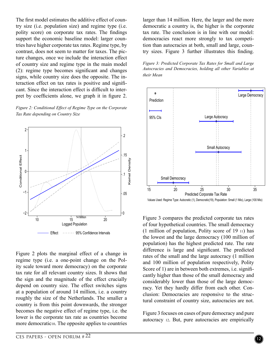The first model estimates the additive effect of country size (i.e. population size) and regime type (i.e. polity score) on corporate tax rates. The findings support the economic baseline model: larger countries have higher corporate tax rates. Regime type, by contrast, does not seem to matter for taxes. The picture changes, once we include the interaction effect of country size and regime type in the main model (2): regime type becomes significant and changes signs, while country size does the opposite. The interaction effect on tax rates is positive and significant. Since the interaction effect is difficult to interpret by coefficients alone, we graph it in figure 2.





Figure 2 plots the marginal effect of a change in regime type (i.e. a one-point change on the Polity scale toward more democracy) on the corporate tax rate for all relevant country sizes. It shows that the sign and the magnitude of the effect crucially depend on country size. The effect switches signs at a population of around 14 million, i.e. a country roughly the size of the Netherlands. The smaller a country is from this point downwards, the stronger becomes the negative effect of regime type, i.e. the lower is the corporate tax rate as countries become more democratic<sub>10</sub>. The opposite applies to countries larger than 14 million. Here, the larger and the more democratic a country is, the higher is the corporate tax rate. The conclusion is in line with our model: democracies react more strongly to tax competition than autocracies at both, small and large, country sizes. Figure 3 further illustrates this finding.

*Figure 3: Predicted Corporate Tax Rates for Small and Large Autocracies and Democracies, holding all other Variables at their Mean*



Values Used: Regime Type: Autocratic (1), Democratic(19), Population: Small (1 Mio), Large (100 Mio)

Figure 3 compares the predicted corporate tax rates of four hypothetical countries. The small democracy (1 million of population, Polity score of 19 11) has the lowest and the large democracy (100 million of population) has the highest predicted rate. The rate difference is large and significant. The predicted rates of the small and the large autocracy (1 million and 100 million of population respectively, Polity Score of 1) are in between both extremes, i.e. significantly higher than those of the small democracy and considerably lower than those of the large democracy. Yet they hardly differ from each other. Conclusion: Democracies are responsive to the structural constraint of country size, autocracies are not.

Figure 3 focuses on cases of pure democracy and pure autocracy 12. But, pure autocracies are empirically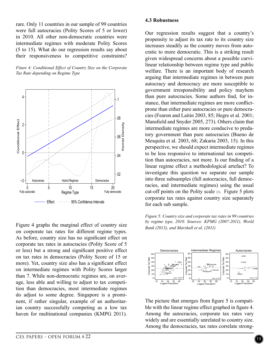rare. Only 11 countries in our sample of 99 countries were full autocracies (Polity Scores of 5 or lower) in 2010. All other non-democratic countries were intermediate regimes with moderate Polity Scores (5 to 15). What do our regression results say about their responsiveness to competitive constraints?

*Fiture 4: Conditional Effect of Country Size on the Corporate Tax Rate depending on Regime Type* 



Figure 4 graphs the marginal effect of country size on corporate tax rates for different regime types. As before, country size has no significant effect on corporate tax rates in autocracies (Polity Score of 5 or less) but a strong and significant positive effect on tax rates in democracies (Polity Score of 15 or more). Yet, country size also has a significant effect on intermediate regimes with Polity Scores larger than 7. While non-democratic regimes are, on average, less able and willing to adjust to tax competition than democracies, most intermediate regimes do adjust to some degree. Singapore is a prominent, if rather singular, example of an authoritarian country successfully competing as a low tax haven for multinational companies (KMPG 2011). Our regression results suggest that a country's propensity to adjust its tax rate to its country size increases steadily as the country moves from autocratic to more democratic. This is a striking result given widespread concerns about a possible curvilinear relationship between regime type and public welfare. There is an important body of research arguing that intermediate regimes in between pure autocracy and democracy are more susceptible to government irresponsibility and policy mayhem than pure autocracies. Some authors find, for instance, that intermediate regimes are more conflictprone than either pure autocracies or pure democracies (Fearon and Laitin 2003, 85; Hegre et al. 2001; Mansfield and Snyder 2005, 273). Others claim that intermediate regimes are more conducive to predatory government than pure autocracies (Bueno de Mesquita et al. 2003, 68; Zakaria 2003, 15). In this perspective, we should expect intermediate regimes to be less responsive to international tax competition than autocracies, not more. Is our finding of a linear regime effect a methodological artefact? To investigate this question we separate our sample into three subsamples (full autocracies, full democracies, and intermediate regimes) using the usual cut-off points on the Polity scale 13. Figure 5 plots corporate tax rates against country size separately for each sub sample.

*Figure 5: Country size and corporate tax rates in 99 countries by regime type, 2010. Sources: KPMG (2007-2011), World Bank (2013), and Marshall et al. (2011)* 



The picture that emerges from figure 5 is compatible with the linear regime effect graphed in figure 4. Among the autocracies, corporate tax rates vary widely and are essentially unrelated to country size. Among the democracies, tax rates correlate strong-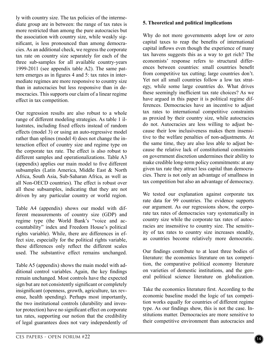ly with country size. The tax policies of the intermediate group are in between: the range of tax rates is more restricted than among the pure autocracies but the association with country size, while weakly significant, is less pronounced than among democracies. As an additional check, we regress the corporate tax rate on country size separately for each of the three sub-samples for all available country-years 1999-2011 (see appendix table A2). The same pattern emerges as in figures 4 and 5: tax rates in intermediate regimes are more responsive to country size than in autocracies but less responsive than in democracies. This supports our claim of a linear regime effect in tax competition.

Our regression results are also robust to a whole range of different modeling strategies. As table 1 illustrates, including fixed effects instead of random effects (model 3) or using an auto-regressive model rather than splines (model 4) does not change the interaction effect of country size and regime type on the corporate tax rate. The effect is also robust to different samples and operationalizations. Table A3 (appendix) applies our main model to five different subsamples (Latin America, Middle East & North Africa, South Asia, Sub-Saharan Africa, as well as all Non-OECD countries). The effect is robust over all these subsamples, indicating that they are not driven by any particular country or world region.

Table A4 (appendix) shows our model with different measurements of country size (GDP) and regime type (the World Bank's "voice and accountability" index and Freedom House's political rights variable). While, there are differences in effect size, especially for the political rights variable, these differences only reflect the different scales used. The substantive effect remains unchanged.

Table A5 (appendix) shows the main model with additional control variables. Again, the key findings remain unchanged. Most controls have the expected sign but are not consistently significant or completely insignificant (openness, growth, agriculture, tax revenue, health spending). Perhaps most importantly, the two institutional controls (durability and investor protection) have no significant effect on corporate tax rates, supporting our notion that the credibility of legal guarantees does not vary independently of **5. Theoretical and political implications** 

Why do not more governments adopt low or zero capital taxes to reap the benefits of international capital inflows even though the experience of many tax havens suggests this as a way to get rich? The economists' response refers to structural differences between countries: small countries benefit from competitive tax cutting; large countries don't. Yet not all small countries follow a low tax strategy, while some large countries do. What drives these seemingly inefficient tax rate choices? As we have argued in this paper it is political regime differences. Democracies have an incentive to adjust tax rates to international competitive constraints as proxied by their country size, while autocracies do not. Autocracies are less willing to adjust because their low inclusiveness makes them insensitive to the welfare penalties of non-adjustments. At the same time, they are also less able to adjust because the relative lack of constitutional constraints on government discretion undermines their ability to make credible long-term policy commitments: at any given tax rate they attract less capital than democracies. There is not only an advantage of smallness in tax competition but also an advantage of democracy.

We tested our explanation against corporate tax rate data for 99 countries. The evidence supports our argument. As our regressions show, the corporate tax rates of democracies vary systematically in country size while the corporate tax rates of autocracies are insensitive to country size. The sensitivity of tax rates to country size increases steadily, as countries become relatively more democratic.

Our findings contribute to at least three bodies of literature: the economics literature on tax competition, the comparative political economy literature on varieties of domestic institutions, and the general political science literature on globalization.

Take the economics literature first. According to the economic baseline model the logic of tax competition works equally for countries of different regime type. As our findings show, this is not the case. Institutions matter. Democracies are more sensitive to their competitive environment than autocracies and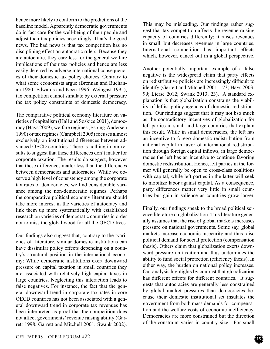hence more likely to conform to the predictions of the baseline model. Apparently democratic governments do in fact care for the well-being of their people and adjust their tax policies accordingly. That's the good news. The bad news is that tax competition has no disciplining effect on autocratic rulers. Because they are autocratic, they care less for the general welfare implications of their tax policies and hence are less easily deterred by adverse international consequences of their domestic tax policy choices. Contrary to what some economists argue (Brennan and Buchanan 1980; Edwards and Keen 1996; Weingast 1995), tax competition cannot simulate by external pressure the tax policy constraints of domestic democracy.

The comparative political economy literature on varieties of capitalism (Hall and Soskice 2001), democracy (Hays 2009), welfare regimes (Esping-Andersen 1990) or tax regimes (Campbell 2005) focuses almost exclusively on institutional differences between advanced OECD countries. There is nothing in our results to suggest that these differences don't matter for corporate taxation. The results do suggest, however that these differences matter less than the differences between democracies and autocracies. While we observe a high level of consistency among the corporate tax rates of democracies, we find considerable variance among the non-democratic regimes. Perhaps the comparative political economy literature should take more interest in the varieties of autocracy and link them up more systematically with established research on varieties of democratic countries in order not to miss the global wood for all the OECD-trees.

Our findings also suggest that, contrary to the 'varieties of' literature, similar domestic institutions can have dissimilar policy effects depending on a country's structural position in the international economy: While democratic institutions exert downward pressure on capital taxation in small countries they are associated with relatively high capital taxes in large countries. Neglecting this interaction leads to false negatives. For instance, the fact that the general downward trend in corporate tax rates in core OECD countries has not been associated with a general downward trend in corporate tax revenues has been interpreted as proof that the competition does not affect governments' revenue raising ability (Garrett 1998; Garrett and Mitchell 2001; Swank 2002).

This may be misleading. Our findings rather suggest that tax competition affects the revenue raising capacity of countries differently: it raises revenues in small, but decreases revenues in large countries. International competition has important effects which, however, cancel out in a global perspective.

Another potentially important example of a false negative is the widespread claim that party effects on redistributive policies are increasingly difficult to identify (Garrett and Mitchell 2001, 173; Hays 2003, 99; Lierse 2012; Swank 2013, 23). A standard explanation is that globalization constrains the viability of leftist policy agendas of domestic redistribution. Our findings suggest that it may not bso much as the contradictory incentives of globalization for left parties in small and large countries that explain this result. While in small democracies, the left has an incentive to forego domestic redistribution from national capital in favor of international redistribution through foreign capital inflows, in large democracies the left has an incentive to continue favoring domestic redistribution. Hence, left parties in the former will generally be open to cross-class coalitions with capital, while left parties in the latter will seek to mobilize labor against capital. As a consequence, party differences matter very little in small countries but gain in salience as countries grow larger.

Finally, our findings speak to the broad political science literature on globalization. This literature generally assumes that the rise of global markets increases pressure on national governments. Some say, global markets increase economic insecurity and thus raise political demand for social protection (compensation thesis). Others claim that globalization exerts downward pressure on taxation and thus undermines the ability to fund social protection (efficiency thesis). In either way, the burden on national policy increases. Our analysis highlights by contrast that globalization has different effects for different countries. It suggests that autocracies are generally less constrained by global market pressures than democracies because their domestic institutional set insulates the government from both mass demands for compensation and the welfare costs of economic inefficiency. Democracies are more constrained but the direction of the constraint varies in country size. For small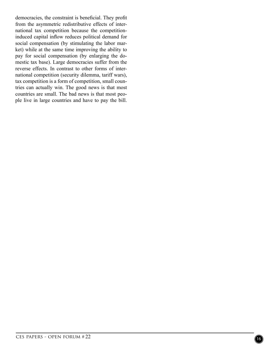democracies, the constraint is beneficial. They profit from the asymmetric redistributive effects of international tax competition because the competitioninduced capital inflow reduces political demand for social compensation (by stimulating the labor market) while at the same time improving the ability to pay for social compensation (by enlarging the domestic tax base). Large democracies suffer from the reverse effects. In contrast to other forms of international competition (security dilemma, tariff wars), tax competition is a form of competition, small countries can actually win. The good news is that most countries are small. The bad news is that most people live in large countries and have to pay the bill.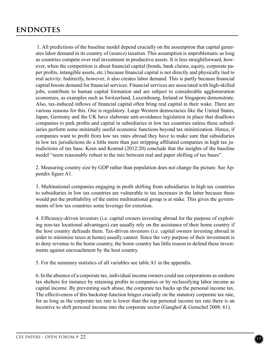1. All predictions of the baseline model depend crucially on the assumption that capital generates labor demand in its country of (source) taxation. This assumption is unproblematic as long as countries compete over real investment in productive assets. It is less straightforward, however, when the competition is about financial capital (bonds, bank claims, equity, corporate paper profits, intangible assets, etc.) because financial capital is not directly and physically tied to real activity. Indirectly, however, it also creates labor demand. This is partly because financial capital boosts demand for financial services. Financial services are associated with high-skilled jobs, contribute to human capital formation and are subject to considerable agglomeration economies, as examples such as Switzerland, Luxembourg, Ireland or Singapore demonstrate. Also, tax-induced inflows of financial capital often bring real capital in their wake. There are various reasons for this. One is regulatory. Large Western democracies like the United States, Japan, Germany and the UK have elaborate anti-avoidance legislation in place that disallows companies to park profits and capital in subsidiaries in low tax countries unless these subsidiaries perform some minimally useful economic functions beyond tax minimization. Hence, if companies want to profit from low tax rates abroad they have to make sure that subsidiaries in low tax jurisdictions do a little more than just stripping affiliated companies in high tax jurisdictions of tax base. Keen and Konrad (2012:20) conclude that the insights of the baseline model "seem reasonably robust to the mix between real and paper shifting of tax bases".

2. Measuring country size by GDP rather than population does not change the picture. See Appendix figure A1.

3. Multinational companies engaging in profit shifting from subsidiaries in high tax countries to subsidiaries in low tax countries are vulnerable to tax increases in the latter because these would put the profitability of the entire multinational group is at stake. This gives the governments of low tax countries some leverage for extortion.

4. Efficiency-driven investors (i.e. capital owners investing abroad for the purpose of exploiting non-tax locational advantages) can usually rely on the assistance of their home country if the host country defrauds them. Tax-driven investors (i.e. capital owners investing abroad in order to minimize taxes at home) usually cannot. Since the very purpose of their investment is to deny revenue to the home country, the home country has little reason to defend these investments against encroachment by the host country.

5. For the summary statistics of all variables see table A1 in the appendix.

6. In the absence of a corporate tax, individual income owners could use corporations as onshore tax shelters for instance by retaining profits in companies or by reclassifying labor income as capital income. By preventing such abuse, the corporate tax backs up the personal income tax. The effectiveness of this backstop function hinges crucially on the statutory corporate tax rate, for as long as the corporate tax rate is lower than the top personal income tax rate there is an incentive to shift personal income into the corporate sector (Ganghof & Genschel 2008: 61).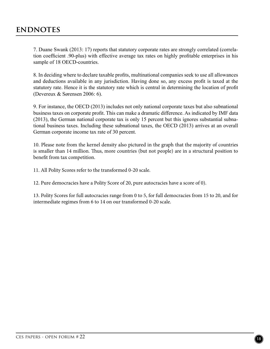7. Duane Swank (2013: 17) reports that statutory corporate rates are strongly correlated (correlation coefficient .90-plus) with effective average tax rates on highly profitable enterprises in his sample of 18 OECD-countries.

8. In deciding where to declare taxable profits, multinational companies seek to use all allowances and deductions available in any jurisdiction. Having done so, any excess profit is taxed at the statutory rate. Hence it is the statutory rate which is central in determining the location of profit (Devereux & Sørensen 2006: 6).

9. For instance, the OECD (2013) includes not only national corporate taxes but also subnational business taxes on corporate profit. This can make a dramatic difference. As indicated by IMF data (2013), the German national corporate tax is only 15 percent but this ignores substantial subnational business taxes. Including these subnational taxes, the OECD (2013) arrives at an overall German corporate income tax rate of 30 percent.

10. Please note from the kernel density also pictured in the graph that the majority of countries is smaller than 14 million. Thus, more countries (but not people) are in a structural position to benefit from tax competition.

11. All Polity Scores refer to the transformed 0-20 scale.

12. Pure democracies have a Polity Score of 20, pure autocracies have a score of 0).

13. Polity Scores for full autocracies range from 0 to 5, for full democracies from 15 to 20, and for intermediate regimes from 6 to 14 on our transformed 0-20 scale.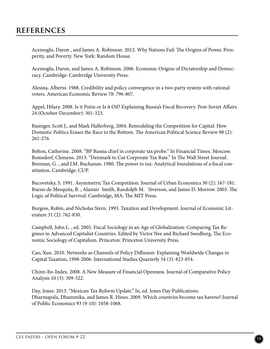Acemoglu, Daron , and James A. Robinson. 2012. Why Nations Fail: The Origins of Power, Prosperity, and Poverty. New York: Random House.

Acemoglu, Daron, and James A. Robinson. 2006. Economic Origins of Dictatorship and Democracy. Cambridge: Cambridge University Press.

Alesina, Alberto. 1988. Credibility and policy convergence in a two-party system with rational voters. American Economic Review 78: 796-807.

Appel, Hilary. 2008. Is it Putin or Is it Oil? Explaining Russia's Fiscal Recovery. Post-Soviet Affairs 24 (October-December): 301-323.

Basinger, Scott J., and Mark Hallerberg. 2004. Remodeling the Competition for Capital: How Domestic Politics Erases the Race to the Bottom. The American Political Science Review 98 (2): 261-276.

Belton, Catherine. 2008. "BP Russia chief in corporate tax probe." In Financial Times. Moscow. Bomsdorf, Clemens. 2013. "Denmark to Cut Corporate Tax Rate." In The Wall Street Journal. Brennan, G. , and J.M. Buchanan. 1980. The power to tax: Analytical foundations of a fiscal constitution. Cambridge: CUP.

Bucovetsky, S. 1991. Asymmetric Tax Competition. Journal of Urban Economics 30 (2): 167-181. Bueno de Mesquita, B. , Alastair Smith, Randolph M. Siverson, and James D. Morrow. 2003. The Logic of Political Survival. Cambridge, MA: The MIT Press.

Burgess, Robin, and Nicholas Stern. 1993. Taxation and Development. Journal of Economic Literature 31 (2): 762-830.

Campbell, John L. , ed. 2005. Fiscal Sociology in an Age of Globalization: Comparing Tax Regimes in Advanced Capitalist Countries. Edited by Victor Nee and Richard Swedberg, The Economic Sociology of Capitalism. Princeton: Princeton University Press.

Cao, Xun. 2010. Networks as Channels of Policy Diffusion: Explaining Worldwide Changes in Capital Taxation, 1998-2006. International Studies Quarterly 54 (3): 823-854.

Chinn-Ito-Index. 2008. A New Measure of Financial Openness. Journal of Comparative Policy Analysis 10 (3): 309-322.

Day, Jones. 2013. "Mexican Tax Reform Update." In, ed. Jones Day Publications. Dharmapala, Dhammika, and James R. Hines. 2009. Which countries become tax havens? Journal of Public Economics 93 (9-10): 1058-1068.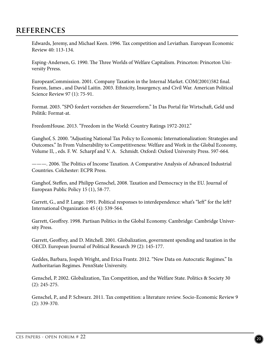Edwards, Jeremy, and Michael Keen. 1996. Tax competition and Leviathan. European Economic Review 40: 113-134.

Esping-Andersen, G. 1990. The Three Worlds of Welfare Capitalism. Princeton: Princeton University Prress.

EuropeanCommission. 2001. Company Taxation in the Internal Market. COM(2001)582 final. Fearon, James , and David Laitin. 2003. Ethnicity, Insurgency, and Civil War. American Political Science Review 97 (1): 75-91.

Format. 2003. "SPÖ fordert vorziehen der Steuerreform." In Das Portal für Wirtschaft, Geld und Politik: Format-at.

FreedomHouse. 2013. "Freedom in the World: Country Ratings 1972-2012."

Ganghof, S. 2000. "Adjusting National Tax Policy to Economic Internationalization: Strategies and Outcomes." In From Vulnerability to Competitiveness: Welfare and Work in the Global Economy, Volume II, , eds. F. W. Scharpf and V. A. Schmidt. Oxford: Oxford University Press. 597-664.

———. 2006. The Politics of Income Taxation. A Comparative Analysis of Advanced Industrial Countries. Colchester: ECPR Press.

Ganghof, Steffen, and Philipp Genschel, 2008. Taxation and Democracy in the EU. Journal of European Public Policy 15 (1), 58-77.

Garrett, G., and P. Lange. 1991. Political responses to interdependence: what's "left" for the left? International Organization 45 (4): 539-564.

Garrett, Geoffrey. 1998. Partisan Politics in the Global Economy. Cambridge: Cambridge University Press.

Garrett, Geoffrey, and D. Mitchell. 2001. Globalization, government spending and taxation in the OECD. European Journal of Political Research 39 (2): 145-177.

Geddes, Barbara, Jospeh Wright, and Erica Frantz. 2012. "New Data on Autocratic Regimes." In Authoritarian Regimes. PennState University.

Genschel, P. 2002. Globalization, Tax Competition, and the Welfare State. Politics & Society 30 (2): 245-275.

Genschel, P., and P. Schwarz. 2011. Tax competition: a literature review. Socio-Economic Review 9 (2): 339-370.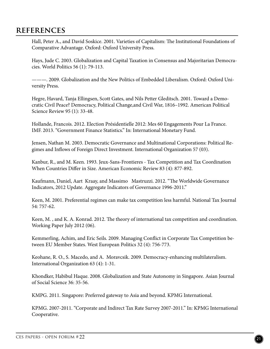Hall, Peter A., and David Soskice. 2001. Varieties of Capitalism: The Institutional Foundations of Comparative Advantage. Oxford: Oxford University Press.

Hays, Jude C. 2003. Globalization and Capital Taxation in Consensus and Majoritarian Democracies. World Politics 56 (1): 79-113.

———. 2009. Globalization and the New Politics of Embedded Liberalism. Oxford: Oxford University Press.

Hegre, Havard, Tanja Ellingsen, Scott Gates, and Nils Petter Gleditsch. 2001. Toward a Democratic Civil Peace? Democracy, Political Change,and Civil War, 1816–1992. American Political Science Review 95 (1): 33-48.

Hollande, Francois. 2012. Election Présidentielle 2012: Mes 60 Engagements Pour La France. IMF. 2013. "Government Finance Statistics." In: International Monetary Fund.

Jensen, Nathan M. 2003. Democratic Governance and Multinational Corporations: Political Regimes and Inflows of Foreign Direct Investment. International Organization 57 (03).

Kanbur, R., and M. Keen. 1993. Jeux-Sans-Frontieres - Tax Competition and Tax Coordination When Countries Differ in Size. American Economic Review 83 (4): 877-892.

Kaufmann, Daniel, Aart Kraay, and Massimo Mastruzzi. 2012. "The Worldwide Governance Indicators, 2012 Update. Aggregate Indicators of Governance 1996-2011."

Keen, M. 2001. Preferential regimes can make tax competition less harmful. National Tax Journal 54: 757-62.

Keen, M. , and K. A. Konrad. 2012. The theory of international tax competition and coordination. Working Paper July 2012 (06).

Kemmerling, Achim, and Eric Seils. 2009. Managing Conflict in Corporate Tax Competition between EU Member States. West European Politics 32 (4): 756-773.

Keohane, R. O., S. Macedo, and A. Moravcsik. 2009. Democracy-enhancing multilateralism. International Organization 63 (4): 1-31.

Khondker, Habibul Haque. 2008. Globalization and State Autonomy in Singapore. Asian Journal of Social Science 36: 35-56.

KMPG. 2011. Singapore: Preferred gateway to Asia and beyond. KPMG International.

KPMG. 2007-2011. "Corporate and Indirect Tax Rate Survey 2007-2011." In: KPMG International Cooperative.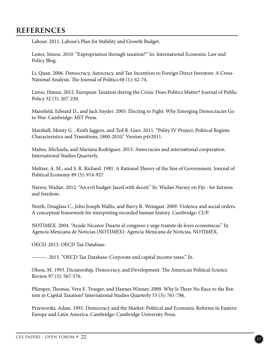Labour. 2011. Labour's Plan for Stability and Growth Budget.

Lester, Simon. 2010. "Expropriation through taxation?" In: International Economic Law and Policy Blog.

Li, Quan. 2006. Democracy, Autocracy, and Tax Incentives to Foreign Direct Investors: A Cross-National Analysis. The Journal of Politics 68 (1): 62-74.

Lierse, Hanna. 2012. European Taxation during the Crisis: Does Politics Matter? Journal of Public Policy 32 (3): 207-230.

Mansfield, Edward D., and Jack Snyder. 2005. Electing to Fight: Why Emerging Democracies Go to War. Cambridge: MIT Press.

Marshall, Monty G. , Keith Jaggers, and Ted R. Gurr. 2011. "Polity IV Project: Political Regime Characteristics and Transitions, 1800-2010," Version p4v2011.

Mattes, Michaela, and Mariana Rodríguez. 2013. Autocracies and international cooperation. International Studies Quarterly.

Meltzer, A. M., and S. R. Richard. 1981. A Rational Theory of the Size of Government. Journal of Political Economy 89 (5): 914-927.

Narsey, Wadan. 2012. "An evil budget: laced with deceit." In: Wadan Narsey on Fiji - for fairness and freedom.

North, Douglass C., John Joseph Wallis, and Barry R. Weingast. 2009. Violence and social orders. A conceptual framework for interpreting recorded human history. Cambridge: CUP.

NOTIMEX. 2004. "Acude Nicanor Duarte al congreso y urge tramite de leyes economicas." In Agencia Mexicana de Noticias (NOTIMEX): Agencia Mexicana de Noticias, NOTIMEX.

OECD. 2013. OECD Tax Database.

———. 2013. "OECD Tax Database: Corporate and capital income taxes." In.

Olson, M. 1993. Dictatorship, Democracy, and Development. The American Political Science Review 97 (3): 567-576.

Plümper, Thomas, Vera E. Troeger, and Hannes Winner. 2009. Why Is There No Race to the Bottom in Capital Taxation? International Studies Quarterly 53 (3): 761-786.

Przeworski, Adam. 1991. Democracy and the Market: Political and Economic Reforms in Eastern Europe and Latin America. Cambridge: Cambridge University Press.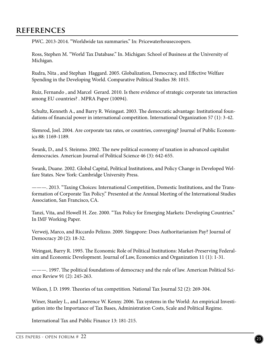PWC. 2013-2014. "Worldwide tax summaries." In: Pricewaterhousecoopers.

Ross, Stephen M. "World Tax Database." In. Michigan: School of Business at the University of Michigan.

Rudra, Nita , and Stephan Haggard. 2005. Globalization, Democracy, and Effective Welfare Spending in the Developing World. Comparative Political Studies 38: 1015.

Ruiz, Fernando , and Marcel Gerard. 2010. Is there evidence of strategic corporate tax interaction among EU countries? . MPRA Paper (10094).

Schultz, Kenneth A., and Barry R. Weingast. 2003. The democratic advantage: Institutional foundations of financial power in international competition. International Organization 57 (1): 3-42.

Slemrod, Joel. 2004. Are corporate tax rates, or countries, converging? Journal of Public Economics 88: 1169-1189.

Swank, D., and S. Steinmo. 2002. The new political economy of taxation in advanced capitalist democracies. American Journal of Political Science 46 (3): 642-655.

Swank, Duane. 2002. Global Capital, Political Institutions, and Policy Change in Developed Welfare States. New York: Cambridge University Press.

———. 2013. "Taxing Choices: International Competition, Domestic Institutions, and the Transformation of Corporate Tax Policy." Presented at the Annual Meeting of the International Studies Association, San Francisco, CA.

Tanzi, Vita, and Howell H. Zee. 2000. "Tax Policy for Emerging Markets: Developing Countries." In IMF Working Paper.

Verweij, Marco, and Riccardo Pelizzo. 2009. Singapore: Does Authoritarianism Pay? Journal of Democracy 20 (2): 18-32.

Weingast, Barry R. 1995. The Economic Role of Political Institutions: Market-Preserving Federalsim and Economic Development. Journal of Law, Economics and Organization 11 (1): 1-31.

———. 1997. The political foundations of democracy and the rule of law. American Political Science Review 91 (2): 245-263.

Wilson, J. D. 1999. Theories of tax competition. National Tax Journal 52 (2): 269-304.

Winer, Stanley L., and Lawrence W. Kenny. 2006. Tax systems in the World: An empirical Investigation into the Importance of Tax Bases, Administration Costs, Scale and Political Regime.

International Tax and Public Finance 13: 181-215.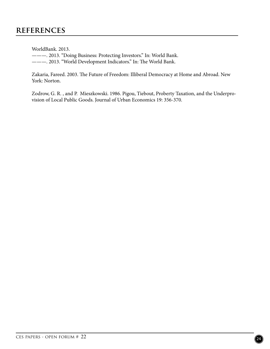WorldBank. 2013.

———. 2013. "Doing Business: Protecting Investors." In: World Bank.

———. 2013. "World Development Indicators." In: The World Bank.

Zakaria, Fareed. 2003. The Future of Freedom: Illiberal Democracy at Home and Abroad. New York: Norton.

Zodrow, G. R. , and P. Mieszkowski. 1986. Pigou, Tiebout, Proberty Taxation, and the Underprovision of Local Public Goods. Journal of Urban Economics 19: 356-370.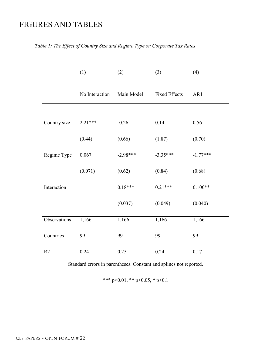# FIGURES AND TABLES

#### *Table 1: The Effect of Country Size and Regime Type on Corporate Tax Rates*

|              | (1)            | (2)        | (3)                  | (4)        |
|--------------|----------------|------------|----------------------|------------|
|              | No Interaction | Main Model | <b>Fixed Effects</b> | AR1        |
|              |                |            |                      |            |
| Country size | 2.21 ***       | $-0.26$    | 0.14                 | 0.56       |
|              | (0.44)         | (0.66)     | (1.87)               | (0.70)     |
| Regime Type  | 0.067          | $-2.98***$ | $-3.35***$           | $-1.77***$ |
|              | (0.071)        | (0.62)     | (0.84)               | (0.68)     |
| Interaction  |                | $0.18***$  | $0.21***$            | $0.100**$  |
|              |                | (0.037)    | (0.049)              | (0.040)    |
| Observations | 1,166          | 1,166      | 1,166                | 1,166      |
| Countries    | 99             | 99         | 99                   | 99         |
| R2           | 0.24           | 0.25       | 0.24                 | 0.17       |

Standard errors in parentheses. Constant and splines not reported.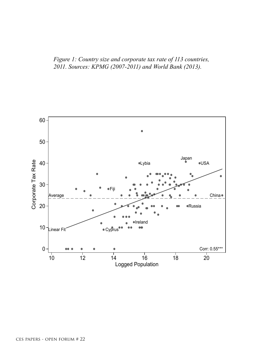*Figure 1: Country size and corporate tax rate of 113 countries, 2011. Sources: KPMG (2007-2011) and World Bank (2013).* 

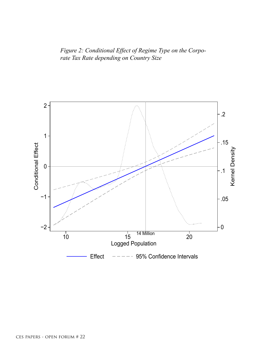*Figure 2: Conditional Effect of Regime Type on the Corporate Tax Rate depending on Country Size*

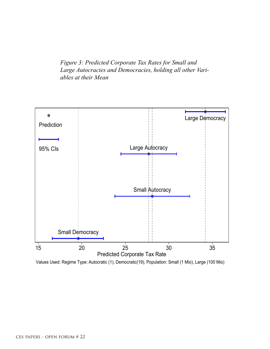*Figure 3: Predicted Corporate Tax Rates for Small and Large Autocracies and Democracies, holding all other Variables at their Mean*



Values Used: Regime Type: Autocratic (1), Democratic(19), Population: Small (1 Mio), Large (100 Mio)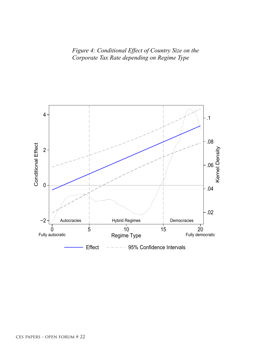*Figure 4: Conditional Effect of Country Size on the Corporate Tax Rate depending on Regime Type*

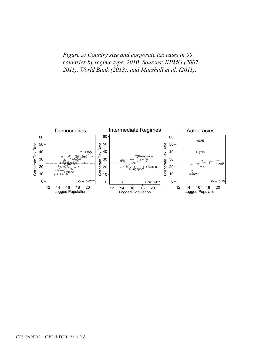*Figure 5: Country size and corporate tax rates in 99 countries by regime type, 2010. Sources: KPMG (2007- 2011), World Bank (2013), and Marshall et al. (2011).*

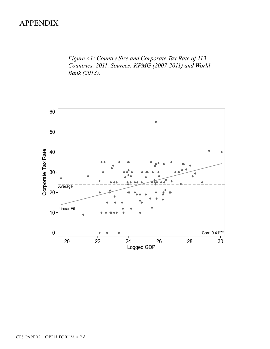# APPENDIX

*Figure A1: Country Size and Corporate Tax Rate of 113 Countries, 2011. Sources: KPMG (2007-2011) and World Bank (2013).*

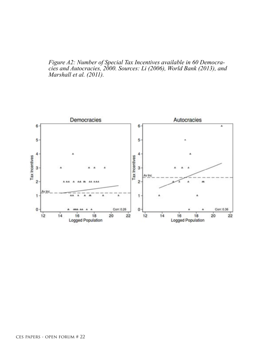*Figure A2: Number of Special Tax Incentives available in 60 Democracies and Autocracies, 2000. Sources: Li (2006), World Bank (2013), and Marshall et al. (2011).*

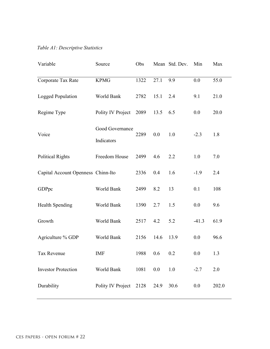#### *Table A1: Descriptive Statistics*

| Variable                           | Source                        | Obs  |      | Mean Std. Dev. | Min     | Max   |
|------------------------------------|-------------------------------|------|------|----------------|---------|-------|
| Corporate Tax Rate                 | <b>KPMG</b>                   | 1322 | 27.1 | 9.9            | 0.0     | 55.0  |
| Logged Population                  | World Bank                    | 2782 | 15.1 | 2.4            | 9.1     | 21.0  |
| Regime Type                        | Polity IV Project             | 2089 | 13.5 | 6.5            | 0.0     | 20.0  |
| Voice                              | Good Governance<br>Indicators | 2289 | 0.0  | 1.0            | $-2.3$  | 1.8   |
| <b>Political Rights</b>            | Freedom House                 | 2499 | 4.6  | 2.2            | 1.0     | 7.0   |
| Capital Account Openness Chinn-Ito |                               | 2336 | 0.4  | 1.6            | $-1.9$  | 2.4   |
| GDPpc                              | World Bank                    | 2499 | 8.2  | 13             | 0.1     | 108   |
| <b>Health Spending</b>             | World Bank                    | 1390 | 2.7  | 1.5            | 0.0     | 9.6   |
| Growth                             | World Bank                    | 2517 | 4.2  | 5.2            | $-41.3$ | 61.9  |
| Agriculture % GDP                  | World Bank                    | 2156 | 14.6 | 13.9           | 0.0     | 96.6  |
| Tax Revenue                        | IMF                           | 1988 | 0.6  | 0.2            | 0.0     | 1.3   |
| <b>Investor Protection</b>         | World Bank                    | 1081 | 0.0  | 1.0            | $-2.7$  | 2.0   |
| Durability                         | Polity IV Project 2128        |      | 24.9 | 30.6           | 0.0     | 202.0 |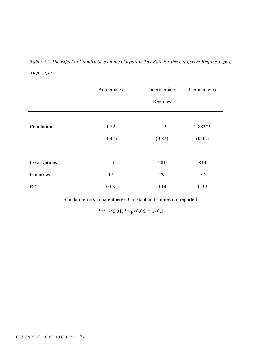# *Table A2: The Effect of Country Size on the Corporate Tax Rate for three different Regime Types, 1999-2011*

|                | Autocracies | Intermediate | Democracies |
|----------------|-------------|--------------|-------------|
|                |             | Regimes      |             |
|                |             |              |             |
| Population     | 1.22        | 1.23         | 2.88***     |
|                | (1.47)      | (0.82)       | (0.42)      |
|                |             |              |             |
| Observations   | 151         | 201          | 814         |
| Countries      | 17          | 29           | 72          |
| R <sub>2</sub> | 0.09        | 0.14         | 0.39        |

Standard errors in parentheses. Constant and splines not reported.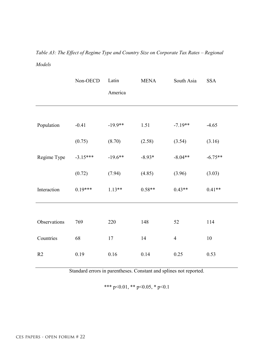*Table A3: The Effect of Regime Type and Country Size on Corporate Tax Rates – Regional Models* 

|              | Non-OECD   | Latin     | <b>MENA</b> | South Asia     | <b>SSA</b> |
|--------------|------------|-----------|-------------|----------------|------------|
|              |            | America   |             |                |            |
|              |            |           |             |                |            |
| Population   | $-0.41$    | $-19.9**$ | 1.51        | $-7.19**$      | $-4.65$    |
|              | (0.75)     | (8.70)    | (2.58)      | (3.54)         | (3.16)     |
| Regime Type  | $-3.15***$ | $-19.6**$ | $-8.93*$    | $-8.04**$      | $-6.75**$  |
|              | (0.72)     | (7.94)    | (4.85)      | (3.96)         | (3.03)     |
| Interaction  | $0.19***$  | $1.13**$  | $0.58**$    | $0.43**$       | $0.41**$   |
|              |            |           |             |                |            |
| Observations | 769        | 220       | 148         | 52             | 114        |
| Countries    | 68         | $17\,$    | 14          | $\overline{4}$ | $10\,$     |
| R2           | 0.19       | 0.16      | 0.14        | 0.25           | 0.53       |

Standard errors in parentheses. Constant and splines not reported.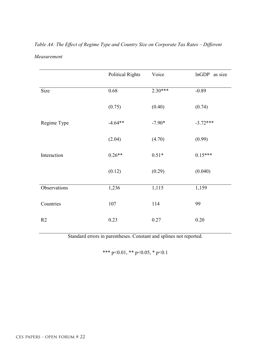# *Table A4: The Effect of Regime Type and Country Size on Corporate Tax Rates – Different Measurement*

|              | <b>Political Rights</b> | Voice     | lnGDP<br>as size |
|--------------|-------------------------|-----------|------------------|
| Size         | 0.68                    | $2.30***$ | $-0.89$          |
|              | (0.75)                  | (0.40)    | (0.74)           |
| Regime Type  | $-4.64**$               | $-7.90*$  | $-3.72***$       |
|              | (2.04)                  | (4.70)    | (0.99)           |
| Interaction  | $0.26**$                | $0.51*$   | $0.15***$        |
|              | (0.12)                  | (0.29)    | (0.040)          |
| Observations | 1,236                   | 1,115     | 1,159            |
| Countries    | 107                     | 114       | 99               |
| R2           | 0.23                    | 0.27      | 0.20             |

Standard errors in parentheses. Constant and splines not reported.